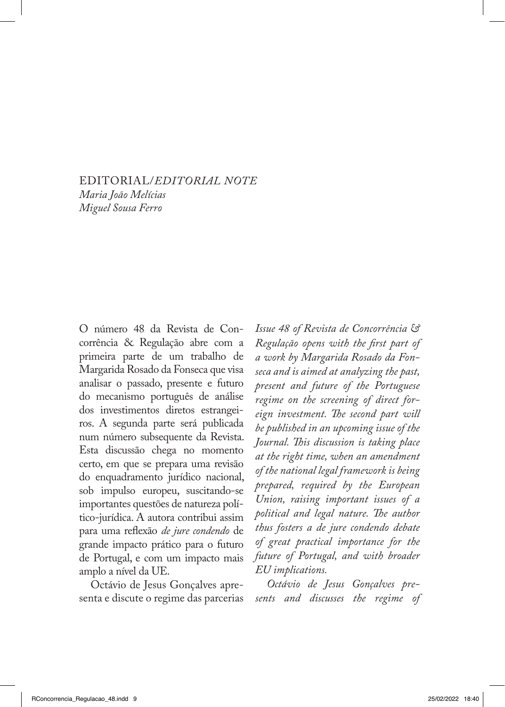EDITORIAL/*EDITORIAL NOTE Maria João Melícias Miguel Sousa Ferro*

O número 48 da Revista de Concorrência & Regulação abre com a primeira parte de um trabalho de Margarida Rosado da Fonseca que visa analisar o passado, presente e futuro do mecanismo português de análise dos investimentos diretos estrangeiros. A segunda parte será publicada num número subsequente da Revista. Esta discussão chega no momento certo, em que se prepara uma revisão do enquadramento jurídico nacional, sob impulso europeu, suscitando-se importantes questões de natureza político-jurídica. A autora contribui assim para uma reflexão *de jure condendo* de grande impacto prático para o futuro de Portugal, e com um impacto mais amplo a nível da UE.

Octávio de Jesus Gonçalves apresenta e discute o regime das parcerias

*Issue 48 of Revista de Concorrência & Regulação opens with the first part of a work by Margarida Rosado da Fonseca and is aimed at analyzing the past, present and future of the Portuguese regime on the screening of direct foreign investment. The second part will be published in an upcoming issue of the Journal. This discussion is taking place at the right time, when an amendment of the national legal framework is being prepared, required by the European Union, raising important issues of a political and legal nature. The author thus fosters a de jure condendo debate of great practical importance for the future of Portugal, and with broader EU implications.*

*Octávio de Jesus Gonçalves presents and discusses the regime of*